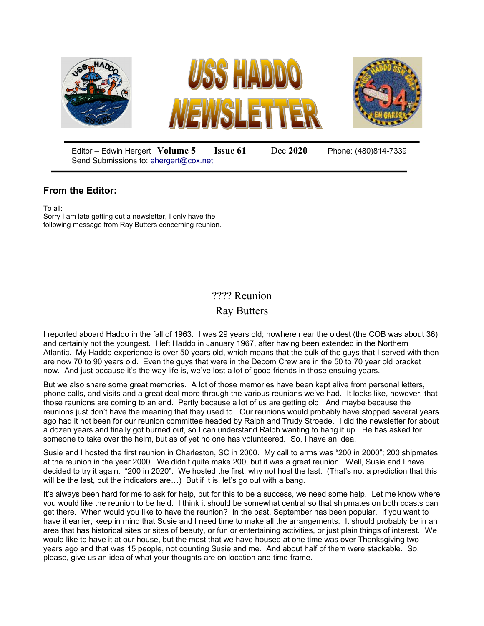

Editor – Edwin Hergert **Volume 5 Issue 61** Dec **2020** Phone: (480)814-7339 Send Submissions to: [ehergert@cox.net](mailto:ehergert@cox.net)

## **From the Editor:**

. To all: Sorry I am late getting out a newsletter, I only have the following message from Ray Butters concerning reunion.

## ???? Reunion

Ray Butters

I reported aboard Haddo in the fall of 1963. I was 29 years old; nowhere near the oldest (the COB was about 36) and certainly not the youngest. I left Haddo in January 1967, after having been extended in the Northern Atlantic. My Haddo experience is over 50 years old, which means that the bulk of the guys that I served with then are now 70 to 90 years old. Even the guys that were in the Decom Crew are in the 50 to 70 year old bracket now. And just because it's the way life is, we've lost a lot of good friends in those ensuing years.

But we also share some great memories. A lot of those memories have been kept alive from personal letters, phone calls, and visits and a great deal more through the various reunions we've had. It looks like, however, that those reunions are coming to an end. Partly because a lot of us are getting old. And maybe because the reunions just don't have the meaning that they used to. Our reunions would probably have stopped several years ago had it not been for our reunion committee headed by Ralph and Trudy Stroede. I did the newsletter for about a dozen years and finally got burned out, so I can understand Ralph wanting to hang it up. He has asked for someone to take over the helm, but as of yet no one has volunteered. So, I have an idea.

Susie and I hosted the first reunion in Charleston, SC in 2000. My call to arms was "200 in 2000"; 200 shipmates at the reunion in the year 2000. We didn't quite make 200, but it was a great reunion. Well, Susie and I have decided to try it again. "200 in 2020". We hosted the first, why not host the last. (That's not a prediction that this will be the last, but the indicators are...) But if it is, let's go out with a bang.

It's always been hard for me to ask for help, but for this to be a success, we need some help. Let me know where you would like the reunion to be held. I think it should be somewhat central so that shipmates on both coasts can get there. When would you like to have the reunion? In the past, September has been popular. If you want to have it earlier, keep in mind that Susie and I need time to make all the arrangements. It should probably be in an area that has historical sites or sites of beauty, or fun or entertaining activities, or just plain things of interest. We would like to have it at our house, but the most that we have housed at one time was over Thanksgiving two years ago and that was 15 people, not counting Susie and me. And about half of them were stackable. So, please, give us an idea of what your thoughts are on location and time frame.